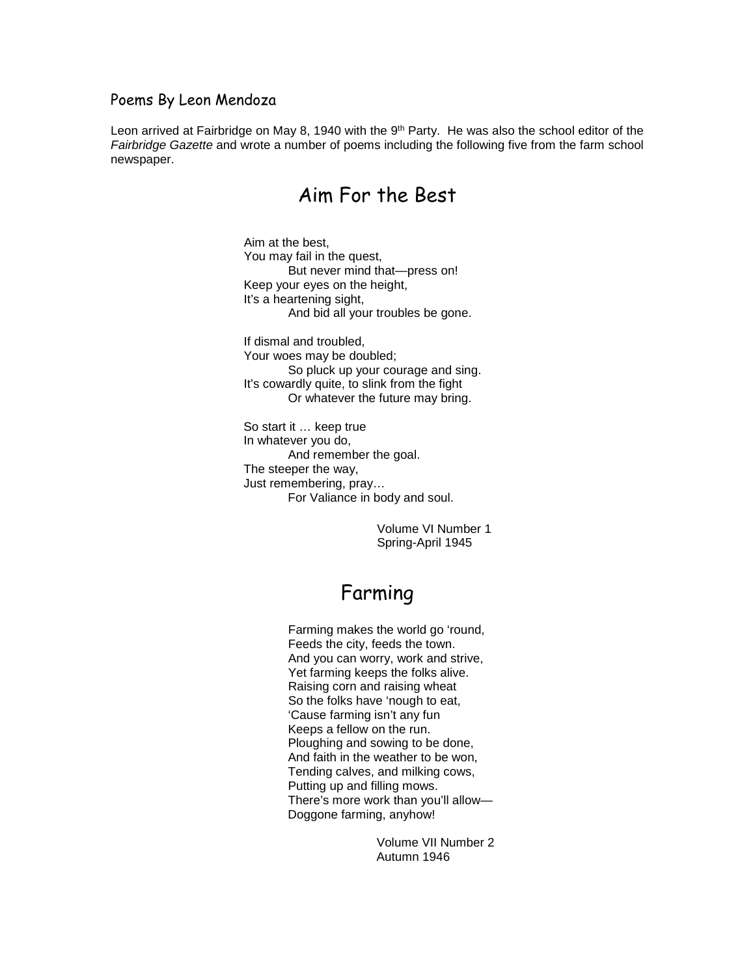#### Poems By Leon Mendoza

Leon arrived at Fairbridge on May 8, 1940 with the  $9<sup>th</sup>$  Party. He was also the school editor of the *Fairbridge Gazette* and wrote a number of poems including the following five from the farm school newspaper.

### Aim For the Best

Aim at the best, You may fail in the quest, But never mind that—press on! Keep your eyes on the height, It's a heartening sight, And bid all your troubles be gone.

If dismal and troubled, Your woes may be doubled; So pluck up your courage and sing. It's cowardly quite, to slink from the fight Or whatever the future may bring.

So start it … keep true In whatever you do, And remember the goal. The steeper the way, Just remembering, pray… For Valiance in body and soul.

> Volume VI Number 1 Spring-April 1945

## Farming

Farming makes the world go 'round, Feeds the city, feeds the town. And you can worry, work and strive, Yet farming keeps the folks alive. Raising corn and raising wheat So the folks have 'nough to eat, 'Cause farming isn't any fun Keeps a fellow on the run. Ploughing and sowing to be done, And faith in the weather to be won, Tending calves, and milking cows, Putting up and filling mows. There's more work than you'll allow— Doggone farming, anyhow!

> Volume VII Number 2 Autumn 1946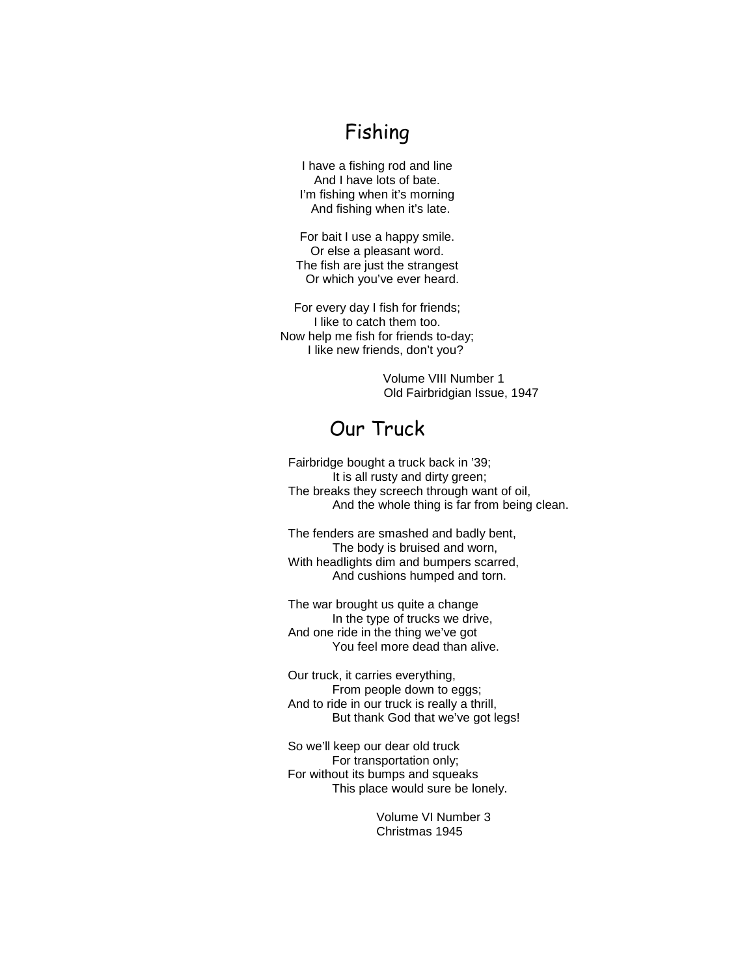## Fishing

I have a fishing rod and line And I have lots of bate. I'm fishing when it's morning And fishing when it's late.

For bait I use a happy smile. Or else a pleasant word. The fish are just the strangest Or which you've ever heard.

For every day I fish for friends; I like to catch them too. Now help me fish for friends to-day; I like new friends, don't you?

> Volume VIII Number 1 Old Fairbridgian Issue, 1947

## Our Truck

Fairbridge bought a truck back in '39; It is all rusty and dirty green; The breaks they screech through want of oil, And the whole thing is far from being clean.

The fenders are smashed and badly bent, The body is bruised and worn, With headlights dim and bumpers scarred, And cushions humped and torn.

The war brought us quite a change In the type of trucks we drive, And one ride in the thing we've got You feel more dead than alive.

Our truck, it carries everything, From people down to eggs; And to ride in our truck is really a thrill, But thank God that we've got legs!

So we'll keep our dear old truck For transportation only; For without its bumps and squeaks This place would sure be lonely.

> Volume VI Number 3 Christmas 1945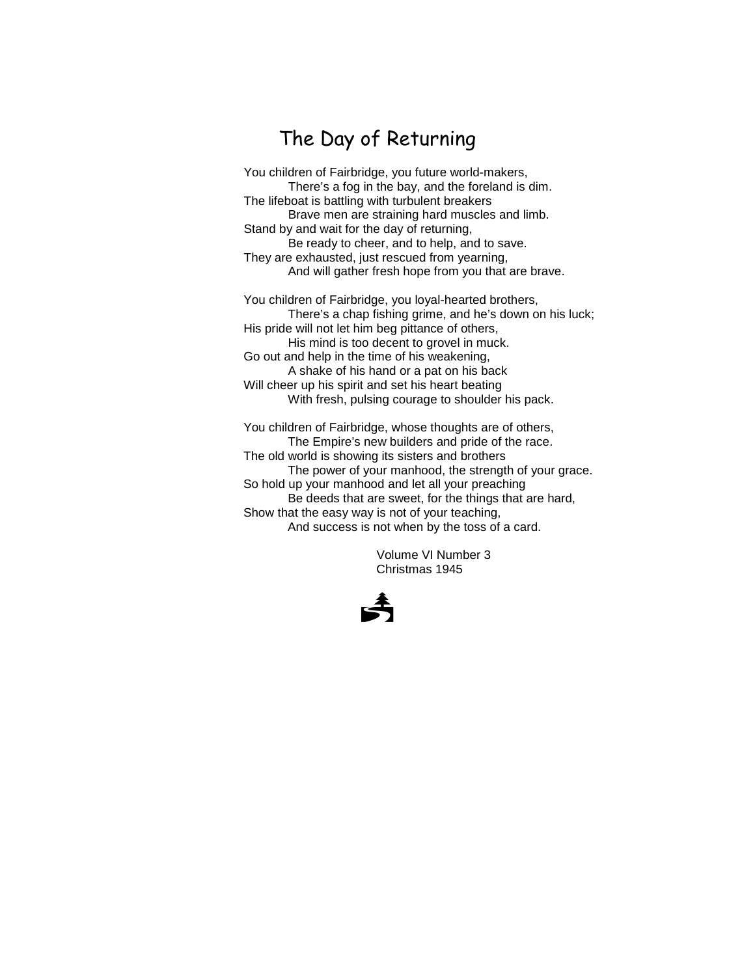## The Day of Returning

You children of Fairbridge, you future world-makers, There's a fog in the bay, and the foreland is dim. The lifeboat is battling with turbulent breakers Brave men are straining hard muscles and limb. Stand by and wait for the day of returning, Be ready to cheer, and to help, and to save. They are exhausted, just rescued from yearning, And will gather fresh hope from you that are brave. You children of Fairbridge, you loyal-hearted brothers, There's a chap fishing grime, and he's down on his luck; His pride will not let him beg pittance of others, His mind is too decent to grovel in muck. Go out and help in the time of his weakening, A shake of his hand or a pat on his back

Will cheer up his spirit and set his heart beating With fresh, pulsing courage to shoulder his pack.

You children of Fairbridge, whose thoughts are of others, The Empire's new builders and pride of the race. The old world is showing its sisters and brothers

The power of your manhood, the strength of your grace. So hold up your manhood and let all your preaching Be deeds that are sweet, for the things that are hard, Show that the easy way is not of your teaching, And success is not when by the toss of a card.

> Volume VI Number 3 Christmas 1945

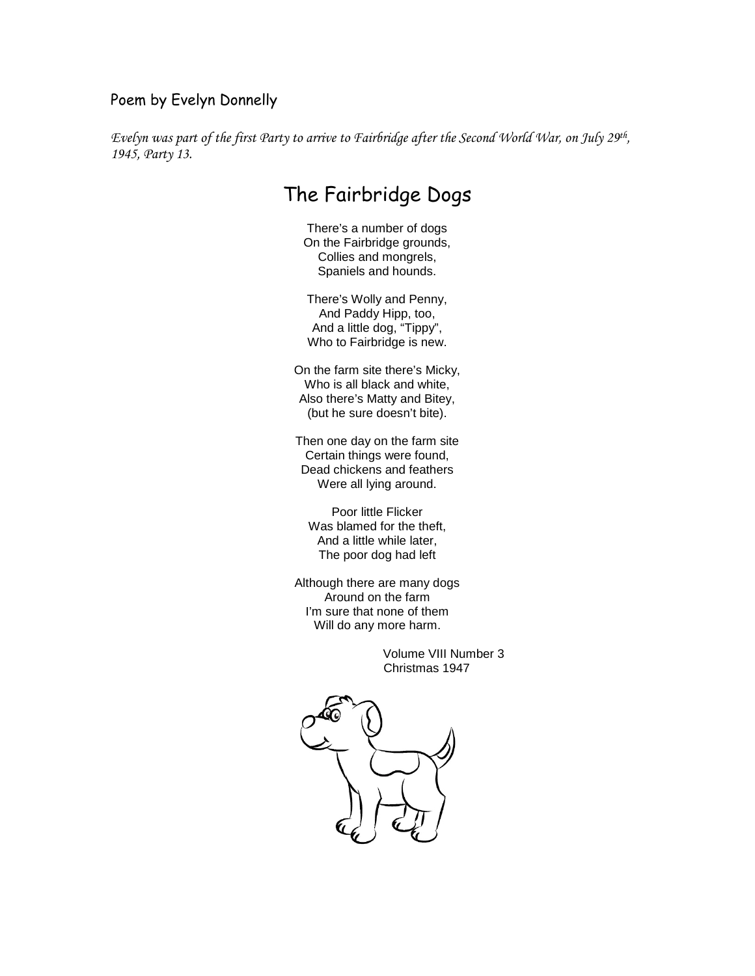### Poem by Evelyn Donnelly

*Evelyn was part of the first Party to arrive to Fairbridge after the Second World War, on July 29th, 1945, Party 13.* 

## The Fairbridge Dogs

There's a number of dogs On the Fairbridge grounds, Collies and mongrels, Spaniels and hounds.

There's Wolly and Penny, And Paddy Hipp, too, And a little dog, "Tippy", Who to Fairbridge is new.

On the farm site there's Micky, Who is all black and white, Also there's Matty and Bitey, (but he sure doesn't bite).

Then one day on the farm site Certain things were found, Dead chickens and feathers Were all lying around.

Poor little Flicker Was blamed for the theft, And a little while later, The poor dog had left

Although there are many dogs Around on the farm I'm sure that none of them Will do any more harm.

> Volume VIII Number 3 Christmas 1947

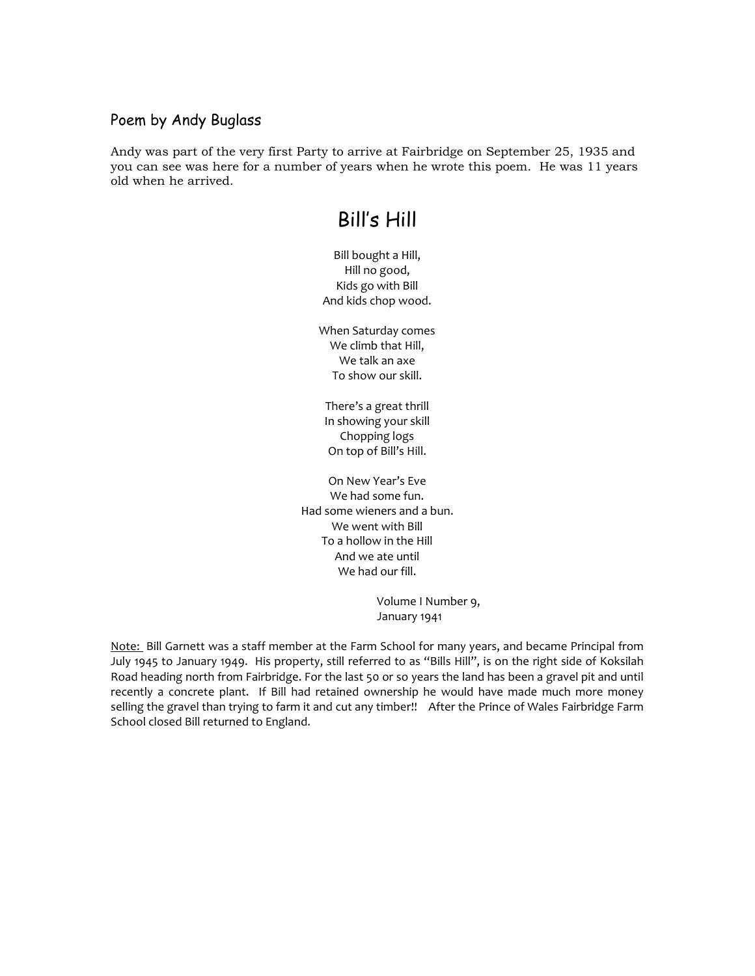#### Poem by Andy Buglass

Andy was part of the very first Party to arrive at Fairbridge on September 25, 1935 and you can see was here for a number of years when he wrote this poem. He was 11 years old when he arrived.

## Bill's Hill

Bill bought a Hill, Hill no good, Kids go with Bill And kids chop wood.

When Saturday comes We climb that Hill, We talk an axe To show our skill.

There's a great thrill In showing your skill Chopping logs On top of Bill's Hill.

On New Year's Eve We had some fun. Had some wieners and a bun. We went with Bill To a hollow in the Hill And we ate until We had our fill.

> Volume I Number 9, January 1941

Note: Bill Garnett was a staff member at the Farm School for many years, and became Principal from July 1945 to January 1949. His property, still referred to as "Bills Hill", is on the right side of Koksilah Road heading north from Fairbridge. For the last 50 or so years the land has been a gravel pit and until recently a concrete plant. If Bill had retained ownership he would have made much more money selling the gravel than trying to farm it and cut any timber!! After the Prince of Wales Fairbridge Farm School closed Bill returned to England.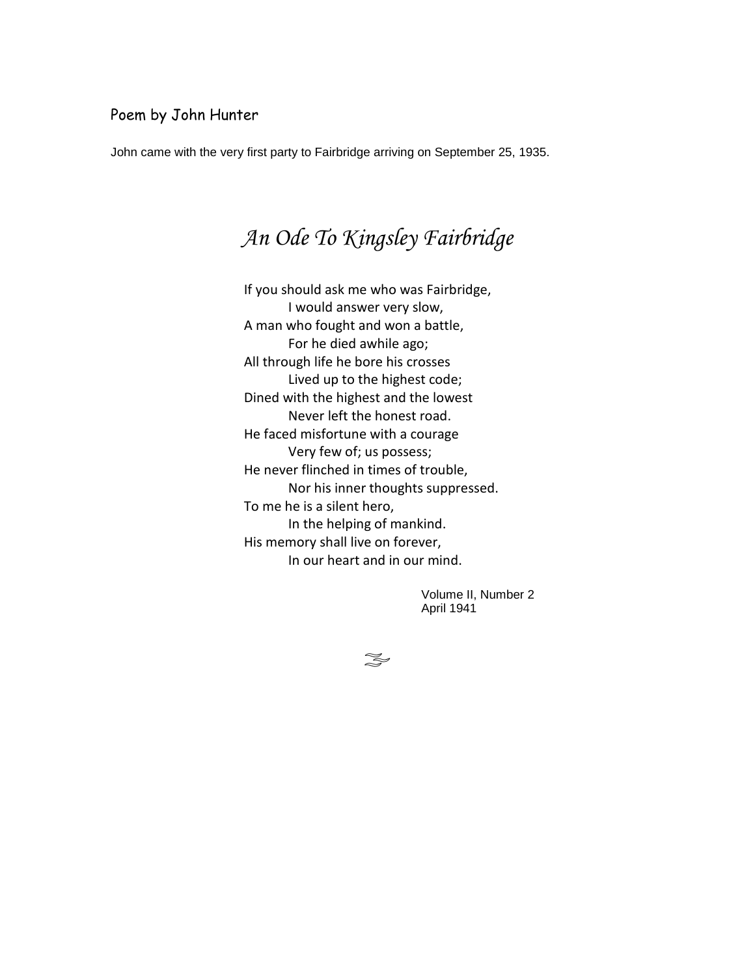### Poem by John Hunter

John came with the very first party to Fairbridge arriving on September 25, 1935.

# *An Ode To Kingsley Fairbridge*

If you should ask me who was Fairbridge, I would answer very slow, A man who fought and won a battle, For he died awhile ago; All through life he bore his crosses Lived up to the highest code; Dined with the highest and the lowest Never left the honest road. He faced misfortune with a courage Very few of; us possess; He never flinched in times of trouble, Nor his inner thoughts suppressed. To me he is a silent hero, In the helping of mankind. His memory shall live on forever, In our heart and in our mind.

> Volume II, Number 2 April 1941

 $\approx$